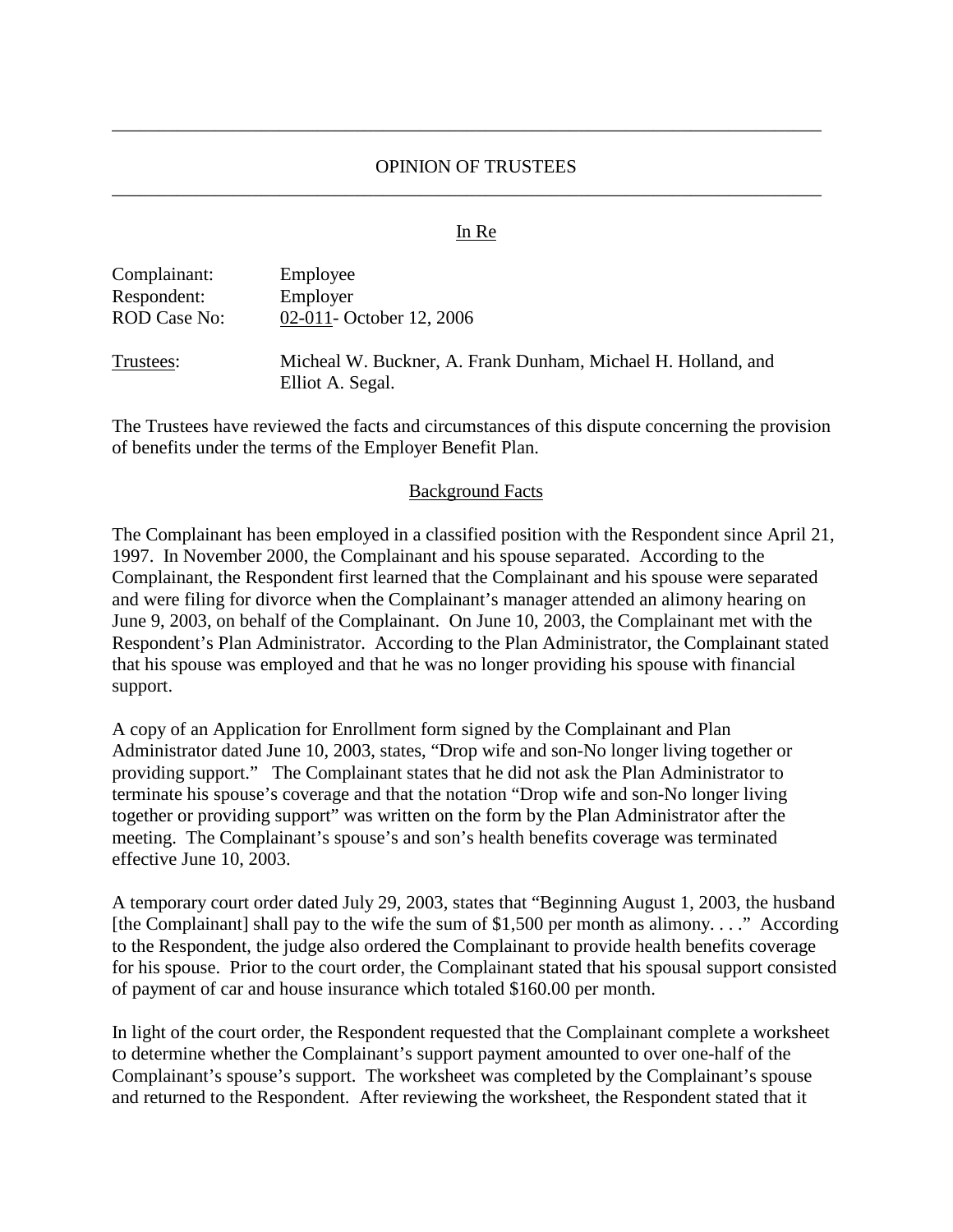# OPINION OF TRUSTEES \_\_\_\_\_\_\_\_\_\_\_\_\_\_\_\_\_\_\_\_\_\_\_\_\_\_\_\_\_\_\_\_\_\_\_\_\_\_\_\_\_\_\_\_\_\_\_\_\_\_\_\_\_\_\_\_\_\_\_\_\_\_\_\_\_\_\_\_\_\_\_\_\_\_\_\_

\_\_\_\_\_\_\_\_\_\_\_\_\_\_\_\_\_\_\_\_\_\_\_\_\_\_\_\_\_\_\_\_\_\_\_\_\_\_\_\_\_\_\_\_\_\_\_\_\_\_\_\_\_\_\_\_\_\_\_\_\_\_\_\_\_\_\_\_\_\_\_\_\_\_\_\_

#### In Re

| Complainant:<br>Respondent: | Employee<br>Employer                                                             |
|-----------------------------|----------------------------------------------------------------------------------|
| <b>ROD Case No:</b>         | 02-011- October 12, 2006                                                         |
| Trustees:                   | Micheal W. Buckner, A. Frank Dunham, Michael H. Holland, and<br>Elliot A. Segal. |

The Trustees have reviewed the facts and circumstances of this dispute concerning the provision of benefits under the terms of the Employer Benefit Plan.

#### Background Facts

The Complainant has been employed in a classified position with the Respondent since April 21, 1997. In November 2000, the Complainant and his spouse separated. According to the Complainant, the Respondent first learned that the Complainant and his spouse were separated and were filing for divorce when the Complainant's manager attended an alimony hearing on June 9, 2003, on behalf of the Complainant. On June 10, 2003, the Complainant met with the Respondent's Plan Administrator. According to the Plan Administrator, the Complainant stated that his spouse was employed and that he was no longer providing his spouse with financial support.

A copy of an Application for Enrollment form signed by the Complainant and Plan Administrator dated June 10, 2003, states, "Drop wife and son-No longer living together or providing support." The Complainant states that he did not ask the Plan Administrator to terminate his spouse's coverage and that the notation "Drop wife and son-No longer living together or providing support" was written on the form by the Plan Administrator after the meeting. The Complainant's spouse's and son's health benefits coverage was terminated effective June 10, 2003.

A temporary court order dated July 29, 2003, states that "Beginning August 1, 2003, the husband [the Complainant] shall pay to the wife the sum of \$1,500 per month as alimony...." According to the Respondent, the judge also ordered the Complainant to provide health benefits coverage for his spouse. Prior to the court order, the Complainant stated that his spousal support consisted of payment of car and house insurance which totaled \$160.00 per month.

In light of the court order, the Respondent requested that the Complainant complete a worksheet to determine whether the Complainant's support payment amounted to over one-half of the Complainant's spouse's support. The worksheet was completed by the Complainant's spouse and returned to the Respondent. After reviewing the worksheet, the Respondent stated that it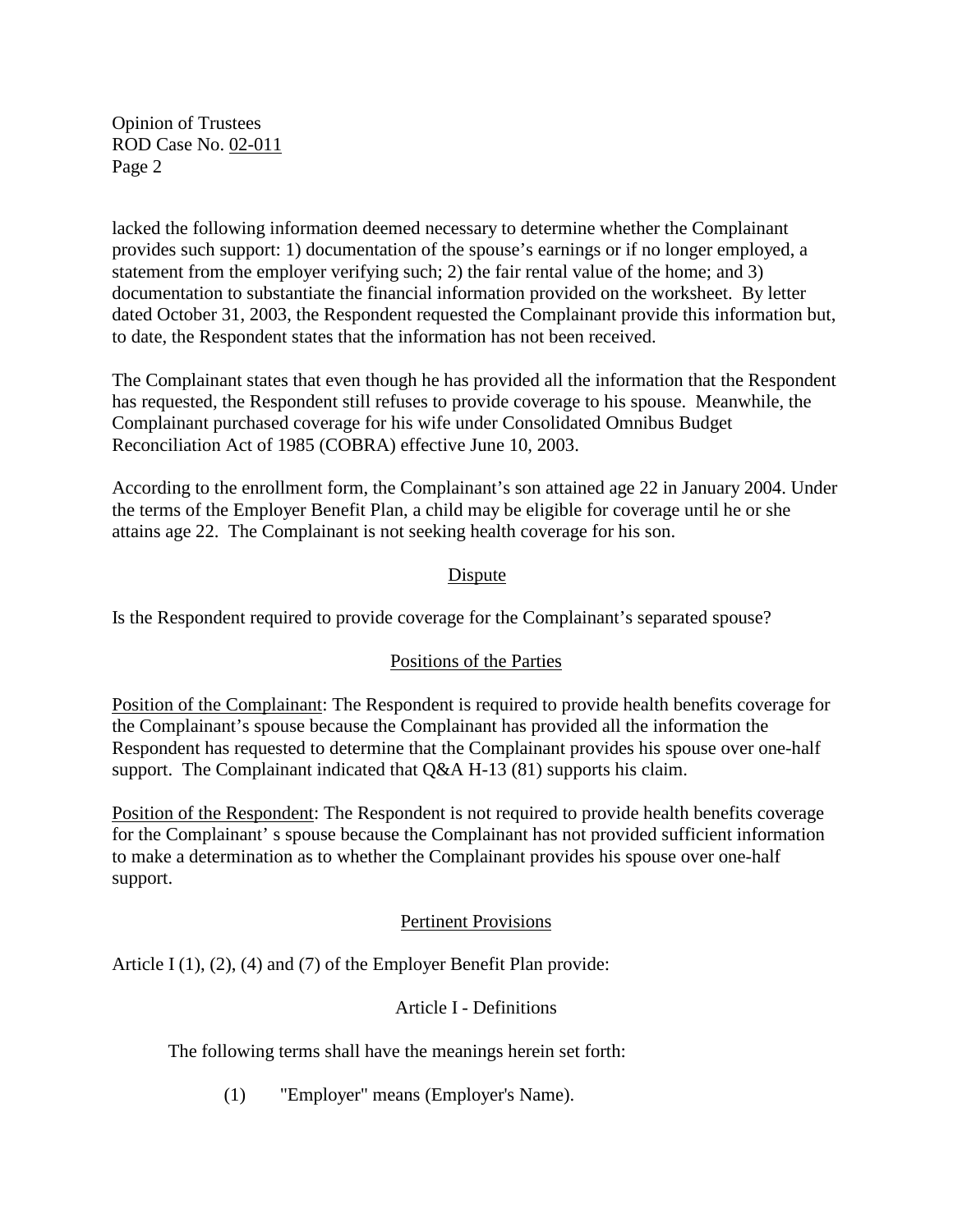lacked the following information deemed necessary to determine whether the Complainant provides such support: 1) documentation of the spouse's earnings or if no longer employed, a statement from the employer verifying such; 2) the fair rental value of the home; and 3) documentation to substantiate the financial information provided on the worksheet. By letter dated October 31, 2003, the Respondent requested the Complainant provide this information but, to date, the Respondent states that the information has not been received.

The Complainant states that even though he has provided all the information that the Respondent has requested, the Respondent still refuses to provide coverage to his spouse. Meanwhile, the Complainant purchased coverage for his wife under Consolidated Omnibus Budget Reconciliation Act of 1985 (COBRA) effective June 10, 2003.

According to the enrollment form, the Complainant's son attained age 22 in January 2004. Under the terms of the Employer Benefit Plan, a child may be eligible for coverage until he or she attains age 22. The Complainant is not seeking health coverage for his son.

# Dispute

Is the Respondent required to provide coverage for the Complainant's separated spouse?

# Positions of the Parties

Position of the Complainant: The Respondent is required to provide health benefits coverage for the Complainant's spouse because the Complainant has provided all the information the Respondent has requested to determine that the Complainant provides his spouse over one-half support. The Complainant indicated that Q&A H-13 (81) supports his claim.

Position of the Respondent: The Respondent is not required to provide health benefits coverage for the Complainant' s spouse because the Complainant has not provided sufficient information to make a determination as to whether the Complainant provides his spouse over one-half support.

### Pertinent Provisions

Article I (1), (2), (4) and (7) of the Employer Benefit Plan provide:

### Article I - Definitions

The following terms shall have the meanings herein set forth:

(1) "Employer" means (Employer's Name).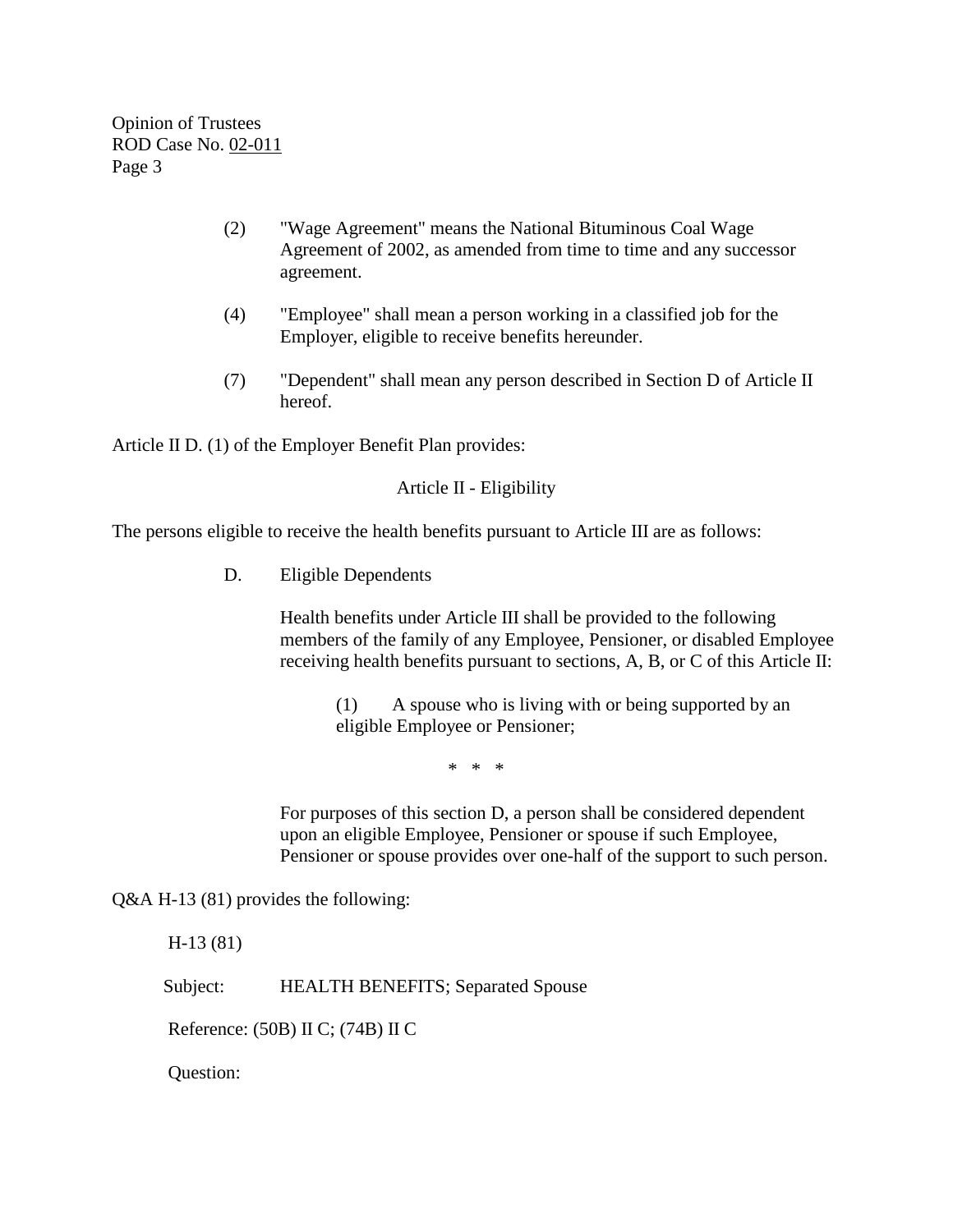- (2) "Wage Agreement" means the National Bituminous Coal Wage Agreement of 2002, as amended from time to time and any successor agreement.
- (4) "Employee" shall mean a person working in a classified job for the Employer, eligible to receive benefits hereunder.
- (7) "Dependent" shall mean any person described in Section D of Article II hereof.

Article II D. (1) of the Employer Benefit Plan provides:

Article II - Eligibility

The persons eligible to receive the health benefits pursuant to Article III are as follows:

D. Eligible Dependents

Health benefits under Article III shall be provided to the following members of the family of any Employee, Pensioner, or disabled Employee receiving health benefits pursuant to sections, A, B, or C of this Article II:

(1) A spouse who is living with or being supported by an eligible Employee or Pensioner;

\* \* \*

For purposes of this section D, a person shall be considered dependent upon an eligible Employee, Pensioner or spouse if such Employee, Pensioner or spouse provides over one-half of the support to such person.

Q&A H-13 (81) provides the following:

H-13 (81)

Subject: HEALTH BENEFITS; Separated Spouse

Reference: (50B) II C; (74B) II C

Question: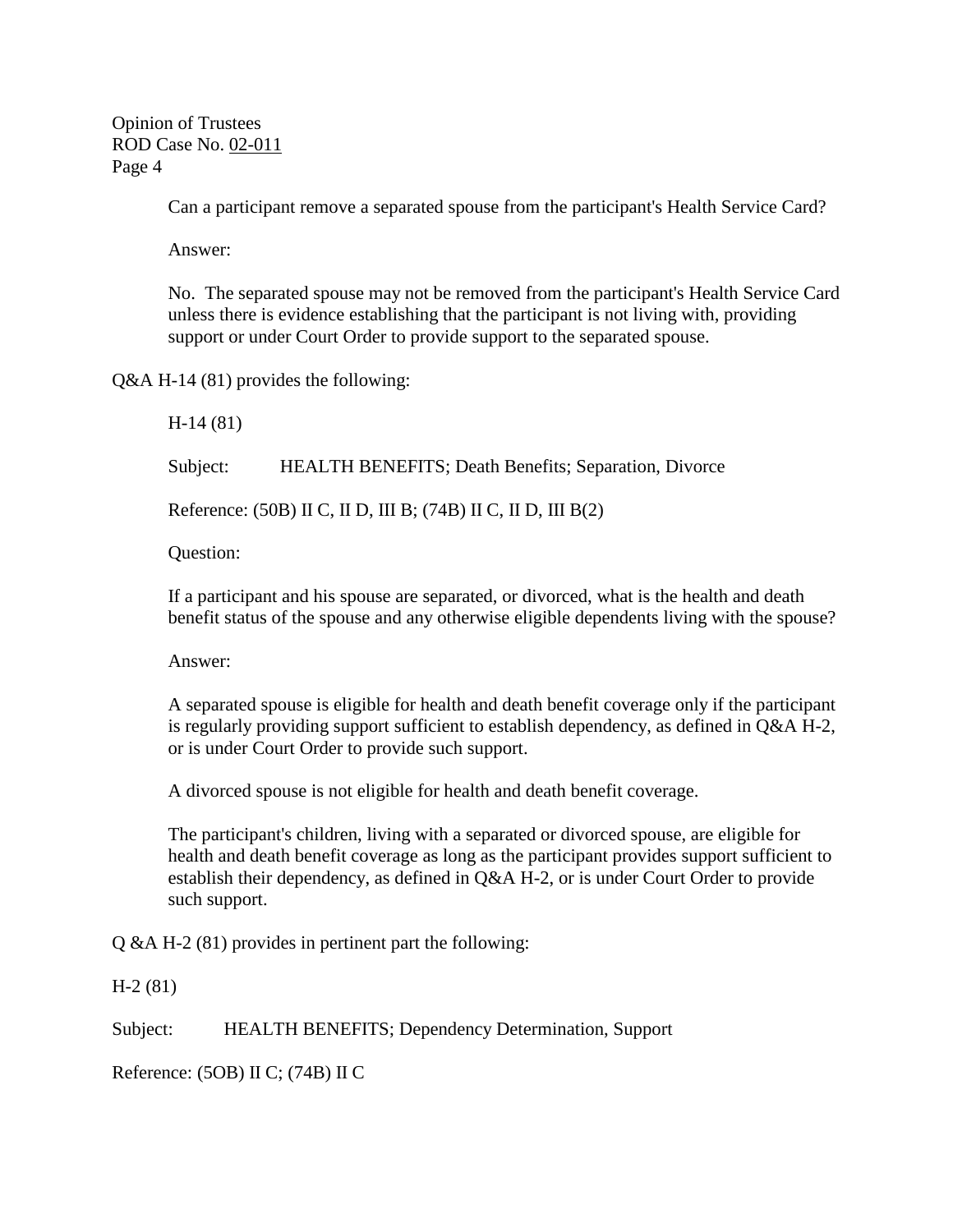Can a participant remove a separated spouse from the participant's Health Service Card?

Answer:

No. The separated spouse may not be removed from the participant's Health Service Card unless there is evidence establishing that the participant is not living with, providing support or under Court Order to provide support to the separated spouse.

Q&A H-14 (81) provides the following:

H-14 (81)

Subject: HEALTH BENEFITS; Death Benefits; Separation, Divorce

Reference: (50B) II C, II D, III B; (74B) II C, II D, III B(2)

Question:

If a participant and his spouse are separated, or divorced, what is the health and death benefit status of the spouse and any otherwise eligible dependents living with the spouse?

Answer:

A separated spouse is eligible for health and death benefit coverage only if the participant is regularly providing support sufficient to establish dependency, as defined in Q&A H-2, or is under Court Order to provide such support.

A divorced spouse is not eligible for health and death benefit coverage.

The participant's children, living with a separated or divorced spouse, are eligible for health and death benefit coverage as long as the participant provides support sufficient to establish their dependency, as defined in Q&A H-2, or is under Court Order to provide such support.

Q &A H-2 (81) provides in pertinent part the following:

H-2 (81)

Subject: HEALTH BENEFITS; Dependency Determination, Support

Reference: (5OB) II C; (74B) II C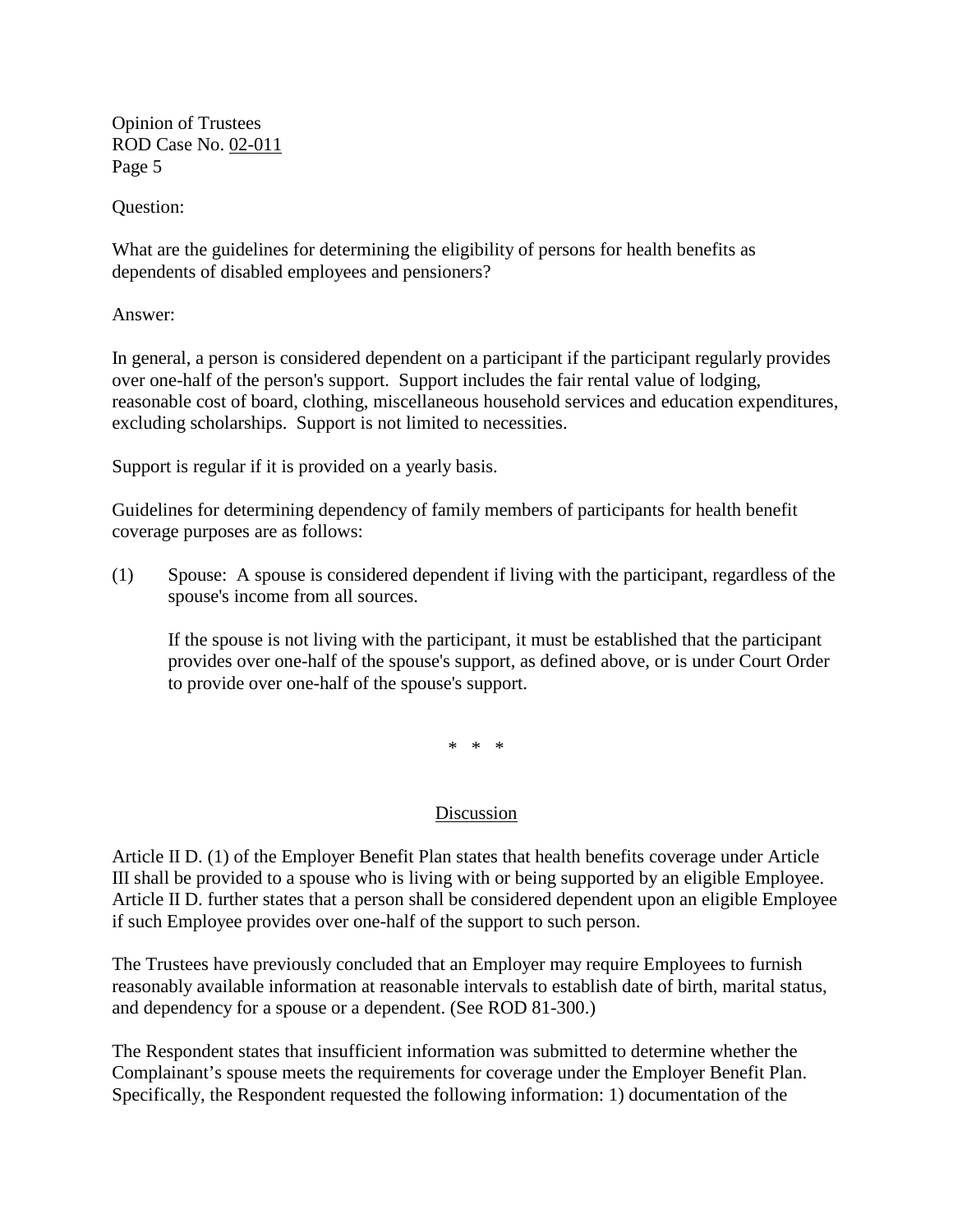Question:

What are the guidelines for determining the eligibility of persons for health benefits as dependents of disabled employees and pensioners?

Answer:

In general, a person is considered dependent on a participant if the participant regularly provides over one-half of the person's support. Support includes the fair rental value of lodging, reasonable cost of board, clothing, miscellaneous household services and education expenditures, excluding scholarships. Support is not limited to necessities.

Support is regular if it is provided on a yearly basis.

Guidelines for determining dependency of family members of participants for health benefit coverage purposes are as follows:

(1) Spouse: A spouse is considered dependent if living with the participant, regardless of the spouse's income from all sources.

If the spouse is not living with the participant, it must be established that the participant provides over one-half of the spouse's support, as defined above, or is under Court Order to provide over one-half of the spouse's support.

\* \* \*

# **Discussion**

Article II D. (1) of the Employer Benefit Plan states that health benefits coverage under Article III shall be provided to a spouse who is living with or being supported by an eligible Employee. Article II D. further states that a person shall be considered dependent upon an eligible Employee if such Employee provides over one-half of the support to such person.

The Trustees have previously concluded that an Employer may require Employees to furnish reasonably available information at reasonable intervals to establish date of birth, marital status, and dependency for a spouse or a dependent. (See ROD 81-300.)

The Respondent states that insufficient information was submitted to determine whether the Complainant's spouse meets the requirements for coverage under the Employer Benefit Plan. Specifically, the Respondent requested the following information: 1) documentation of the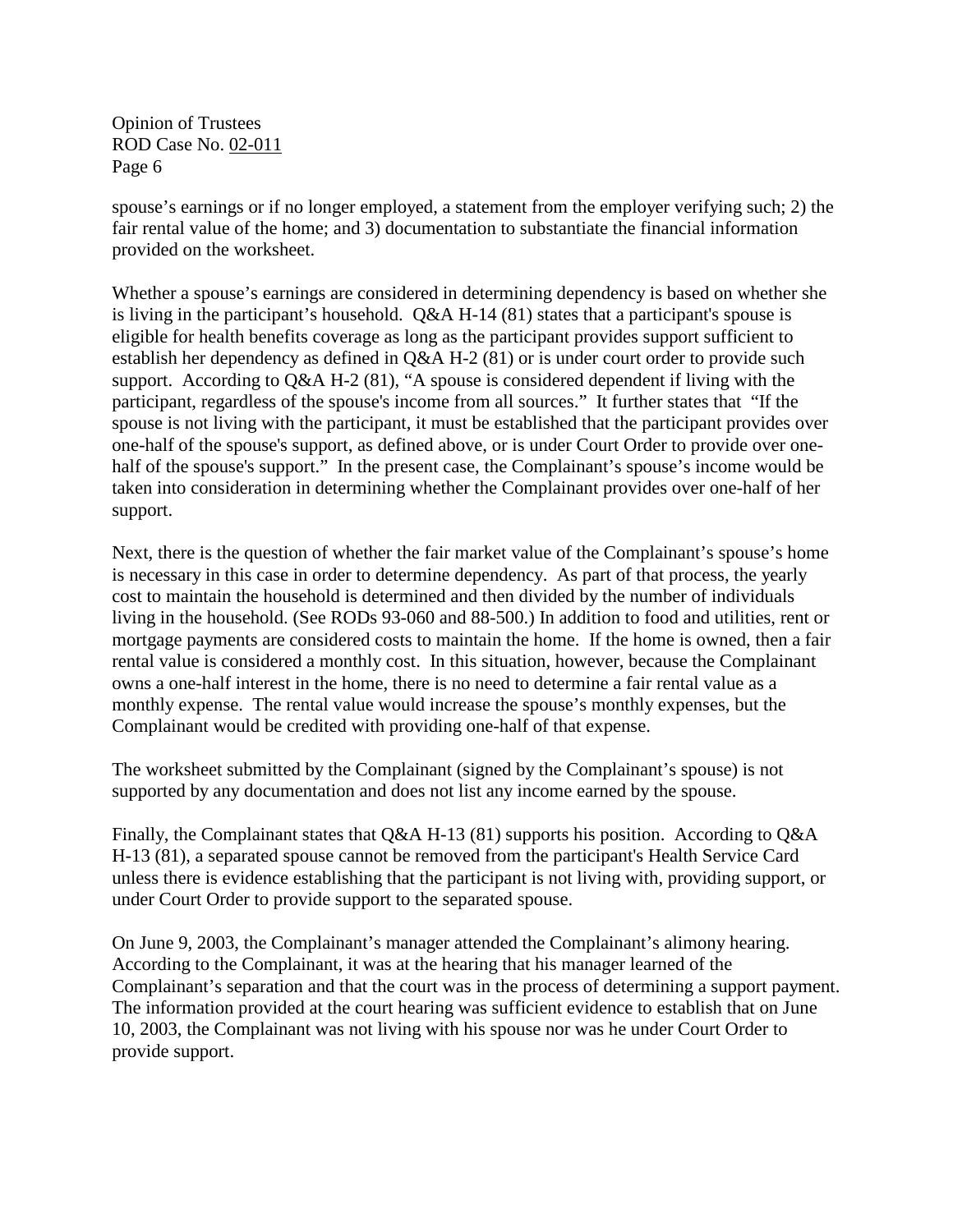spouse's earnings or if no longer employed, a statement from the employer verifying such; 2) the fair rental value of the home; and 3) documentation to substantiate the financial information provided on the worksheet.

Whether a spouse's earnings are considered in determining dependency is based on whether she is living in the participant's household. Q&A H-14 (81) states that a participant's spouse is eligible for health benefits coverage as long as the participant provides support sufficient to establish her dependency as defined in Q&A H-2 (81) or is under court order to provide such support. According to Q&A H-2 (81), "A spouse is considered dependent if living with the participant, regardless of the spouse's income from all sources." It further states that "If the spouse is not living with the participant, it must be established that the participant provides over one-half of the spouse's support, as defined above, or is under Court Order to provide over onehalf of the spouse's support." In the present case, the Complainant's spouse's income would be taken into consideration in determining whether the Complainant provides over one-half of her support.

Next, there is the question of whether the fair market value of the Complainant's spouse's home is necessary in this case in order to determine dependency. As part of that process, the yearly cost to maintain the household is determined and then divided by the number of individuals living in the household. (See RODs 93-060 and 88-500.) In addition to food and utilities, rent or mortgage payments are considered costs to maintain the home. If the home is owned, then a fair rental value is considered a monthly cost. In this situation, however, because the Complainant owns a one-half interest in the home, there is no need to determine a fair rental value as a monthly expense. The rental value would increase the spouse's monthly expenses, but the Complainant would be credited with providing one-half of that expense.

The worksheet submitted by the Complainant (signed by the Complainant's spouse) is not supported by any documentation and does not list any income earned by the spouse.

Finally, the Complainant states that Q&A H-13 (81) supports his position. According to Q&A H-13 (81), a separated spouse cannot be removed from the participant's Health Service Card unless there is evidence establishing that the participant is not living with, providing support, or under Court Order to provide support to the separated spouse.

On June 9, 2003, the Complainant's manager attended the Complainant's alimony hearing. According to the Complainant, it was at the hearing that his manager learned of the Complainant's separation and that the court was in the process of determining a support payment. The information provided at the court hearing was sufficient evidence to establish that on June 10, 2003, the Complainant was not living with his spouse nor was he under Court Order to provide support.